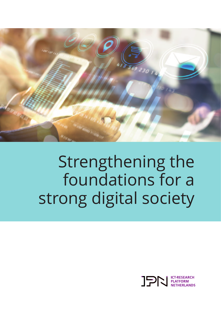

# Strengthening the foundations for a strong digital society

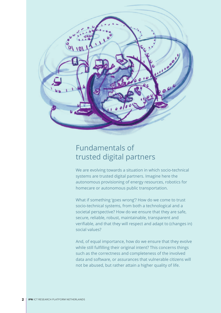

### Fundamentals of trusted digital partners

We are evolving towards a situation in which socio-technical systems are trusted digital partners. Imagine here the autonomous provisioning of energy resources, robotics for homecare or autonomous public transportation.

What if something 'goes wrong'? How do we come to trust socio-technical systems, from both a technological and a societal perspective? How do we ensure that they are safe, secure, reliable, robust, maintainable, transparent and verifiable, and that they will respect and adapt to (changes in) social values?

And, of equal importance, how do we ensure that they evolve while still fulfilling their original intent? This concerns things such as the correctness and completeness of the involved data and software, or assurances that vulnerable citizens will not be abused, but rather attain a higher quality of life.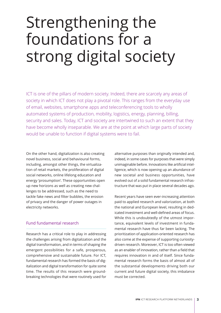## Strengthening the foundations for a strong digital society

ICT is one of the pillars of modern society. Indeed, there are scarcely any areas of society in which ICT does not play a pivotal role. This ranges from the everyday use of email, websites, smartphone apps and teleconferencing tools to wholly automated systems of production, mobility, logistics, energy, planning, billing, security and sales. Today, ICT and society are intertwined to such an extent that they have become wholly inseparable. We are at the point at which large parts of society would be unable to function if digital systems were to fail.

On the other hand, digitalization is also creating novel business, social and behavioural forms, including, amongst other things, the virtualization of retail markets, the proliferation of digital social networks, online lifelong education and energy 'prosumption'. These opportunities open up new horizons as well as creating new challenges to be addressed, such as the need to tackle fake news and filter bubbles, the erosion of privacy and the danger of power outages in electricity networks.

### Fund fundamental research

Research has a critical role to play in addressing the challenges arising from digitalization and the digital transformation, and in terms of shaping the emergent possibilities for a safe, prosperous, comprehensive and sustainable future. For ICT, fundamental research has formed the basis of digitalization and digital transformation for quite some time. The results of this research were groundbreaking technologies that were routinely used for alternative purposes than originally intended and, indeed, in some cases for purposes that were simply unimaginable before. Innovations like artificial intelligence, which is now opening up an abundance of new societal and business opportunities, have evolved out of a solid fundamental research infrastructure that was put in place several decades ago.

Recent years have seen ever-increasing attention paid to applied research and valorization, at both the national and European level, resulting in dedicated investment and well-defined areas of focus. While this is undoubtedly of the utmost importance, equivalent levels of investment in fundamental research have thus far been lacking. The prioritization of application-oriented research has also come at the expense of supporting curiositydriven research. Moreover, ICT is too often viewed as an enabler of innovation, rather than a field that requires innovation in and of itself. Since fundamental research forms the basis of almost all of the substantial developments driving both our current and future digital society, this imbalance must be corrected.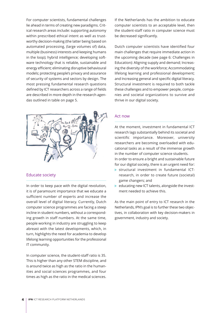For computer scientists, fundamental challenges lie ahead in terms of creating new paradigms. Critical research areas include: supporting autonomy within prescribed ethical intent as well as trustworthy decision-making (the latter being based on automated processing, (large volumes of) data, multiple (business) interests and keeping humans in the loop); hybrid intelligence; developing software technology that is reliable, sustainable and energy efficient; eliminating disruptive behavioural models; protecting people's privacy and assurance of security of systems and sectors by design. The most pressing fundamental research questions defined by ICT researchers across a range of fields are described in more depth in the research agendas outlined in table on page 5.



### Educate society

In order to keep pace with the digital revolution, it is of paramount importance that we educate a sufficient number of experts and increase the overall level of digital literacy. Currently, Dutch computer science programmes are facing a steep incline in student numbers, without a corresponding growth in staff numbers. At the same time, people working in industry are struggling to keep abreast with the latest developments, which, in turn, highlights the need for academia to develop lifelong learning opportunities for the professional IT community.

In computer science, the student-staff ratio is 35. This is higher than any other STEM discipline, and is around twice as high as the ratio in the humanities and social sciences programmes, and four times as high as the ratio in the medical sciences. If the Netherlands has the ambition to educate computer scientists to an acceptable level, then the student-staff ratio in computer science must be decreased significantly.

Dutch computer scientists have identified four main challenges that require immediate action in the upcoming decade (see page 6: Challenges in Education): Aligning supply and demand; Increasing the diversity of the workforce; Accommodating lifelong learning and professional development; and Increasing general and specific digital literacy. Structural investment is required to both tackle these challenges and to empower people, companies and societal organizations to survive and thrive in our digital society.

### Act now

At the moment, investment in fundamental ICT research lags substantially behind its societal and scientific importance. Moreover, university researchers are becoming overloaded with educational tasks as a result of the immense growth in the number of computer science students. In order to ensure a bright and sustainable future for our digital society, there is an urgent need for:

- structural investment in fundamental ICTresearch, in order to create future (societal) game changers; and
- $\blacktriangleright$  educating new ICT talents, alongside the investment needed to achieve this.

As the main point of entry to ICT research in the Netherlands, IPN's goal is to further these two objectives, in collaboration with key decision-makers in government, industry and society.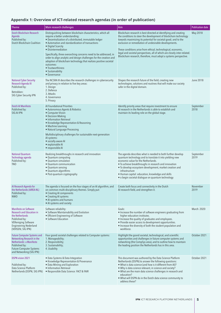#### **Appendix 1: Overview of ICT-related research agendas (in order of publication)**

| <b>Theme</b>                                                                                                                                                                            | Main research challenges                                                                                                                                                                                                                                                                                                                                                                                                                                                                                                                        | Aim                                                                                                                                                                                                                                                                                                                                                                                                                                                                               | <b>Publication date</b> |
|-----------------------------------------------------------------------------------------------------------------------------------------------------------------------------------------|-------------------------------------------------------------------------------------------------------------------------------------------------------------------------------------------------------------------------------------------------------------------------------------------------------------------------------------------------------------------------------------------------------------------------------------------------------------------------------------------------------------------------------------------------|-----------------------------------------------------------------------------------------------------------------------------------------------------------------------------------------------------------------------------------------------------------------------------------------------------------------------------------------------------------------------------------------------------------------------------------------------------------------------------------|-------------------------|
| Dutch Blockchain Research<br>Agenda<br>Published by:<br>Dutch Blockchain Coalition                                                                                                      | Distinguishing between blockchain characteristics, which all<br>require a better understanding:<br>• Decentralization of a distributed, immutable ledger<br>• Automation and standardization of transactions<br>• Digital Scarcity<br>• Disintermediation<br>Specifically, three overarching concerns need to be addressed, in<br>order to align analytic and design challenges for the creation and<br>adoption of blockchain technology that realizes positive societal<br>outcomes:<br>• Trustworthiness<br>• Sustainability<br>• Governance | Blockchain research is best directed at identifying and creating<br>the conditions to steer the development of blockchain technology<br>towards maximizing its potential for societal good; and to the<br>exclusion or remediation of undesirable developments.<br>These conditions arise from ethical, technological, economic,<br>legal and societal perspectives, all of which are closely inter-related.<br>Blockchain research, therefore, must adopt a systems perspective. | May 2018                |
| <b>National Cyber Security</b><br>Research Agenda III<br>Published by:<br>Betrokken:<br>SIG Cyber Security IPN                                                                          | The NCSRA III describes the research challenges in cybersecurity<br>and privacy in relation to five key areas:<br>1. Design<br>2. Defence<br>3. Attacks<br>4. Governance<br>5. Privacy                                                                                                                                                                                                                                                                                                                                                          | Shapes the research future of the field, creating new<br>technologies, solutions and routines that will make our society<br>safer in the digital domain.                                                                                                                                                                                                                                                                                                                          | <b>June 2018</b>        |
| <b>Dutch AI Manifesto</b><br>Published by:<br>SIG AI IPN                                                                                                                                | Al Foundational Priorities<br>• Autonomous Agents & Robotics<br>• Computer Vision<br>• Decision-Making<br>• Information Retrieval<br>• Knowledge Representation & Reasoning<br>• Machine Learning<br>• Natural Language Processing<br>Multidisciplinary challenges for sustainable next-generation<br>Al systems:<br>• socially-aware AI<br>• explainable AI<br>• responsible AI                                                                                                                                                                | Identify priority areas that require investment to ensure<br>Al research in the Netherlands is able to establish and<br>maintain its leading role on the global stage.                                                                                                                                                                                                                                                                                                            | September<br>2018       |
| <b>National Quantum</b><br>Technology agenda<br>Published by:<br><b>TNO</b>                                                                                                             | Realizing breakthroughs in research and innovation<br>· Quantum computing<br>• Quantum simulation<br>• Quantum communication<br>• Quantum sensing<br>• Quantum algorithms<br>• Post-quantum cryptography                                                                                                                                                                                                                                                                                                                                        | The agenda describes what is needed to both further develop<br>quantum technology and to translate it into yielding new<br>economic value for the Netherlands.<br>• To achieve breakthroughs in research and innovation<br>• To develop ecosystem development, market creation and<br>infrastructure<br>• Human capital: education, knowledge and skills<br>• o begin societal dialogue on quantum technology                                                                     | September<br>2019       |
| Al Research Agenda for<br>the Netherlands (AIREA-NL)<br>Published by:<br><b>NWO</b>                                                                                                     | The agenda is focused on the four stages of an AI algorithm, and<br>on common multi-disciplinary themes. Simply put:<br>• Creating AI components<br>• Creating AI systems<br>• Al systems and humans<br>• Al systems and society                                                                                                                                                                                                                                                                                                                | Create both focus and connectivity in the Dutch<br>AI research field, and strengthen it.                                                                                                                                                                                                                                                                                                                                                                                          | November<br>2019        |
| <b>Manifesto on Software</b><br><b>Research and Education in</b><br>the Netherlands<br>Published by:<br><b>VEReniging Software</b><br><b>Engineering Nederland</b><br>(VERSEN; SIG IPN) | Software reliability:<br>• Software Maintainability and Evolution<br>• Efficient Engineering of Software<br>• Software Education                                                                                                                                                                                                                                                                                                                                                                                                                | Goals:<br>• Increase the number of software engineers graduating from<br>higher education institutes.<br>• Increase the quality of graduates and employees.<br>• Provide easier access to development opportunities.<br>• Increase the diversity of both the student population and<br>workforce.                                                                                                                                                                                 | March 2020              |
| <b>Future Computer Systems and</b><br>Networking Research in the<br>Netherlands: a Manifesto<br>Published by:<br><b>Future Computer Systems</b><br>and Networking (SIG IPN)             | Four grand societal challenges related to Computer systems:<br>1. Manageability;<br>2. Responsibility;<br>3. Sustainability;<br>4. Usability                                                                                                                                                                                                                                                                                                                                                                                                    | Highlight the grand societal, technological, and scientific<br>opportunities and challenges in future computer systems and<br>networking (the CompSys area), and to outline how to maintain<br>the leading position the Netherlands has in this area.                                                                                                                                                                                                                             | October 2021            |
| <b>DSPN vision 2021</b><br>Published by:<br>Data Science Platform<br>Netherlands (DSPN; SIG IPN)                                                                                        | • Data Systems & Data Integration<br>• Knowledge Representation & Provenance<br>• Data Mining and Exploration<br>• Information Retrieval<br>· Responsible Data Science: FACT & FAIR                                                                                                                                                                                                                                                                                                                                                             | This document was authored by the Data Science Platform<br>Netherlands (DSPN) to answer the following questions:<br>. What is data science (and how is it different from AI)?<br>• Why is data science relevant, in science and society?<br>• What are the main data science challenges in research and<br>education?<br>. What will DSPN do in the Dutch data science community to<br>address these?                                                                             | October 2021            |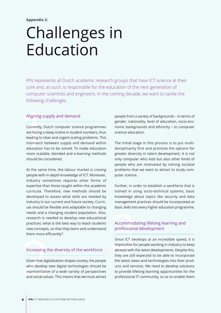### Challenges in Education

IPN represents all Dutch academic research groups that have ICT science at their core and, as such, is responsible for the education of the next generation of computer scientists and engineers. In the coming decade, we want to tackle the following challenges.

### Aligning supply and demand

Aligning su<br>
Currently, Du<br>
are facing a s<br>
leading to cle<br>
mismatch be<br>
education ha<br>
more scalab Currently, Dutch computer science programmes are facing a steep incline in student numbers, thus leading to clear and urgent scaling problems. This mismatch between supply and demand within education has to be solved. To make education more scalable, blended and e-learning methods should be considered.

needs and a changing student population. Also,<br>
research is needed to develop new educational<br>
practices: what is the best way to teach students Accommod.<br>
new concepts, so that they learn and understand professiona<br>
them At the same time, the labour market is craving people with in-depth knowledge of ICT. Moreover, industry sometimes requires other forms of expertise than those taught within the academic curricula. Therefore, new methods should be developed to assess what skills are needed by industry in our current and future society. Curricula should be flexible and adaptable to changing needs and a changing student population. Also, research is needed to develop new educational practices: what is the best way to teach students new concepts, so that they learn and understand them more efficiently?

### Increasing the diversity of the workforce

Given that digitalization shapes society, the people who develop new digital technologies should be representative of a wide variety of perspectives and social values. This means that we must attract

people from a variety of backgrounds – in terms of gender, nationality, level of education, socio-economic backgrounds and ethnicity – to computer science education.

The initial stage in this process is to put multidisciplinarity first and promote the options for greater diversity in talent development. It is not only computer whiz kids but also other kinds of people who are motivated by solving societal problems that we want to attract to study computer science.

Further, in order to establish a workforce that is trained in using socio-technical systems, basic knowledge about topics like security and data management practices should be incorporated as basic skills into every higher education programme.

### Accommodating lifelong learning and professional development

Since ICT develops at an incredible speed, it is impossible for people working in industry to keep abreast with the latest developments. Despite this, they are still expected to be able to incorporate the latest views and technologies into their products and services. We need to develop solutions to provide lifelong learning opportunities for the professional IT community, so as to enable them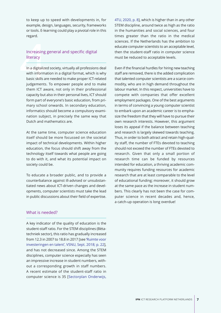to keep up to speed with developments in, for example, design, languages, security, frameworks or tools. E-learning could play a pivotal role in this regard.

### Increasing general and specific digital literacy

Increasing<br>Iiteracy<br>In a digitalize<br>with informa<br>basic skills are In a digitalized society, virtually all professions deal with information in a digital format, which is why basic skills are needed to make proper ICT-related judgements. To empower people and to make them ICT aware, not only in their professional capacity but also in their personal lives, ICT should form part of everyone's basic education, from primary school onwards. In secondary education, informatics should become a compulsory examination subject, in precisely the same way that Dutch and mathematics are.

At the same time, computer science education itself should be more focussed on the societal impact of technical developments. Within higher education, the focus should shift away from the technology itself towards what people are going to do with it, and what its potential impact on society could be.

To educate a broader public, and to provide a counterbalance against ill-advised or unsubstantiated news about ICT-driven changes and developments, computer scientists must take the lead in public discussions about their field of expertise. 4TU, 2020, p. 8], which is higher than in any other STEM discipline, around twice as high as the ratio in the humanities and social sciences, and four [times greater](https://www.4tu.nl/over_4tu/publicaties/onderwijs-sectorplan-betatechniek.pdf) than the ratio in the medical sciences. If the Netherlands has the ambition to educate computer scientists to an acceptable level, then the student-staff ratio in computer science must be reduced to acceptable levels.

Even if the financial hurdles for hiring new teaching staff are removed, there is the added complication that talented computer scientists are a scarce commodity, who are in high demand throughout the labour market. In this respect, universities have to compete with companies that offer excellent employment packages. One of the best arguments in terms of convincing a young computer scientist to embark upon an academic career is to emphasize the freedom that they will have to pursue their own research interests. However, this argument loses its appeal if the balance between teaching and research is largely skewed towards teaching. Thus, in order to both attract and retain high-quality staff, the number of FTEs devoted to teaching should not exceed the number of FTEs devoted to research. Given that only a small portion of research time can be funded by resources intended for education, a thriving academic community requires funding resources for academic research that are at least comparable to the level of educational funding; moreover, it should grow at the same pace as the increase in student numbers. This clearly has not been the case for computer science in recent decades and, hence, a catch-up operation is long overdue!

### What is needed?

A key indicator of the quality of education is the student-staff ratio. For the STEM disciplines (Bètatechniek sector), this ratio has gradually increased from 12.3 in 2007 to 18.8 in 2017 [see 'Ruimte voor investeringen en talent', VSNU, Sept. 2018; p. 22], and has not decreased since. Among the STEM disciplines, computer science especi[ally has seen](https://www.vsnu.nl/files/documenten/Domeinen/Financi%C3%ABn/Ruimte%20voor%20investeringen%20en%20talent.pdf) [an impressive increase in student numbers, with](https://www.vsnu.nl/files/documenten/Domeinen/Financi%C3%ABn/Ruimte%20voor%20investeringen%20en%20talent.pdf)out a corresponding growth in staff numbers. A recent estimate of the student-staff ratio in computer science is 35 [Sectorplan Onderwijs,